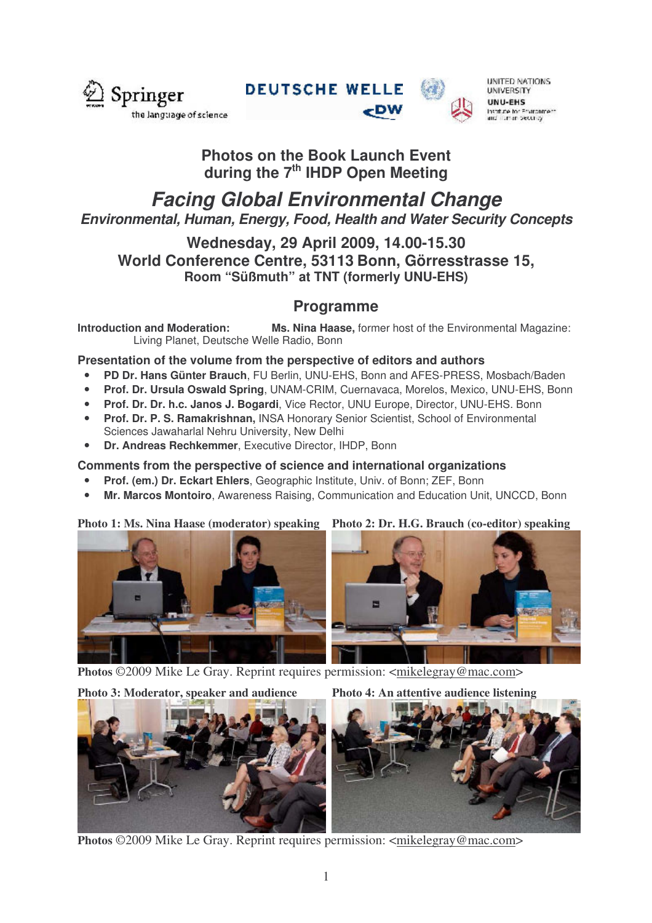

**DEUTSCHE WELLE** 



UNITED NATIONS **UNIVERSITY** UNU-EHS Institute for Environment<br>and Turnan Security

## **Photos on the Book Launch Event during the 7 th IHDP Open Meeting**

# *Facing Global Environmental Change Environmental, Human, Energy, Food, Health and Water Security Concepts*

### **Wednesday, 29 April 2009, 14.00-15.30 World Conference Centre, 53113 Bonn, Görresstrasse 15, Room "Süßmuth" at TNT (formerly UNU-EHS)**

### **Programme**

**Introduction and Moderation: Ms. Nina Haase,** former host of the Environmental Magazine: Living Planet, Deutsche Welle Radio, Bonn

### **Presentation of the volume from the perspective of editors and authors**

- **PD Dr. Hans Günter Brauch**, FU Berlin, UNU-EHS, Bonn and AFES-PRESS, Mosbach/Baden
- **Prof. Dr. Ursula Oswald Spring**, UNAM-CRIM, Cuernavaca, Morelos, Mexico, UNU-EHS, Bonn
- **Prof. Dr. Dr. h.c. Janos J. Bogardi**, Vice Rector, UNU Europe, Director, UNU-EHS. Bonn
- **Prof. Dr. P. S. Ramakrishnan,** INSA Honorary Senior Scientist, School of Environmental Sciences Jawaharlal Nehru University, New Delhi
- **Dr. Andreas Rechkemmer**, Executive Director, IHDP, Bonn

#### **Comments from the perspective of science and international organizations**

- **Prof. (em.) Dr. Eckart Ehlers**, Geographic Institute, Univ. of Bonn; ZEF, Bonn
- **Mr. Marcos Montoiro**, Awareness Raising, Communication and Education Unit, UNCCD, Bonn

#### **Photo 1: Ms. Nina Haase (moderator) speaking Photo 2: Dr. H.G. Brauch (co-editor) speaking**



**Photos** ©2009 Mike Le Gray. Reprint requires permission: <mikelegray@mac.com>

**Photo 3: Moderator, speaker and audience Photo 4: An attentive audience listening**



Photos ©2009 Mike Le Gray. Reprint requires permission: <mikelegray@mac.com>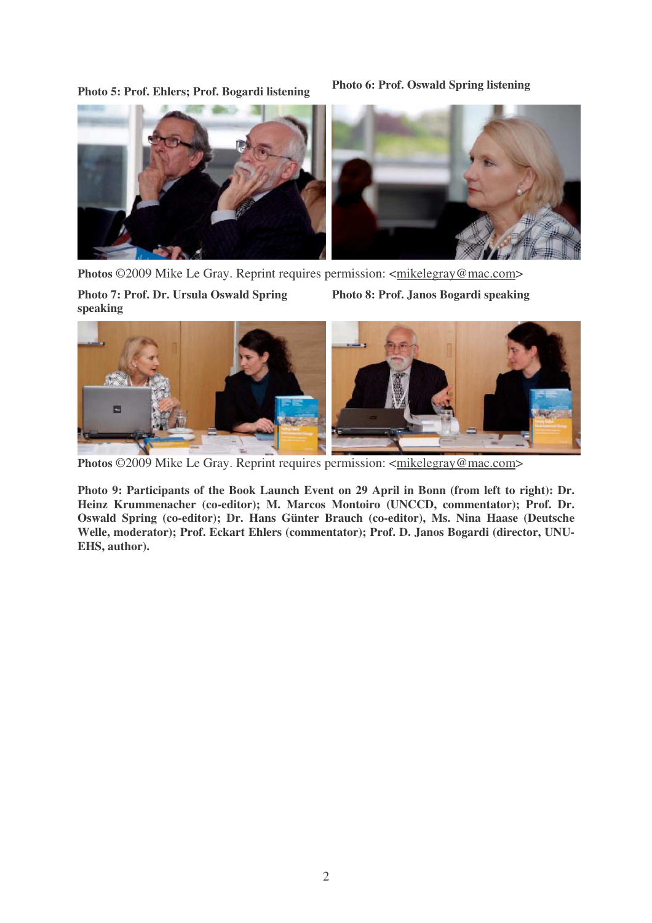**Photo 5: Prof. Ehlers; Prof. Bogardi listening**

**Photo 6: Prof. Oswald Spring listening**



**Photos** ©2009 Mike Le Gray. Reprint requires permission: <mikelegray@mac.com> **Photo 7: Prof. Dr. Ursula Oswald Spring speaking Photo 8: Prof. Janos Bogardi speaking**

![](_page_1_Picture_4.jpeg)

**Photos** ©2009 Mike Le Gray. Reprint requires permission: <mikelegray@mac.com>

**Photo 9: Participants of the Book Launch Event on 29 April in Bonn (from left to right): Dr. Heinz Krummenacher (co-editor); M. Marcos Montoiro (UNCCD, commentator); Prof. Dr. Oswald Spring (co-editor); Dr. Hans Günter Brauch (co-editor), Ms. Nina Haase (Deutsche Welle, moderator); Prof. Eckart Ehlers (commentator); Prof. D. Janos Bogardi (director, UNU-EHS, author).**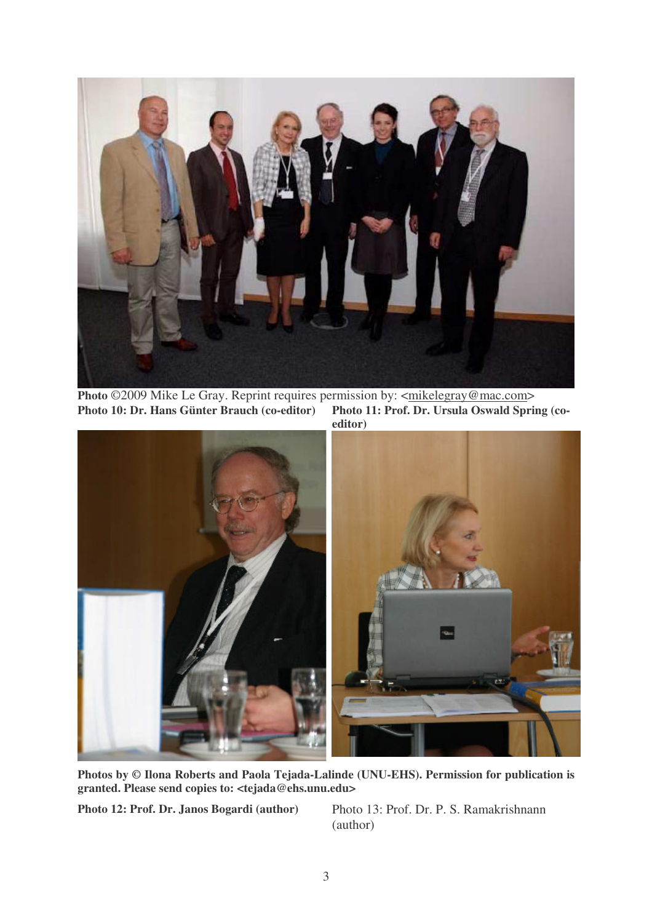![](_page_2_Picture_0.jpeg)

**Photo** ©2009 Mike Le Gray. Reprint requires permission by: <<u>mikelegray@mac.com></u><br>**Photo 10: Dr. Hans Günter Brauch (co-editor)** Photo 11: Prof. Dr. Ursula Oswald Spring (co-**Photo** 10: Dr. **Hans** Günter Brauch (co-editor)

![](_page_2_Picture_2.jpeg)

**Photos by © Ilona Roberts and Paola Tejada-Lalinde (UNU-EHS). Permission for publication is granted. Please send copies to: <tejada@ehs.unu.edu>**

**Photo 12: Prof. Dr. Janos Bogardi (author)** Photo 13: Prof. Dr. P. S. Ramakrishnann

(author)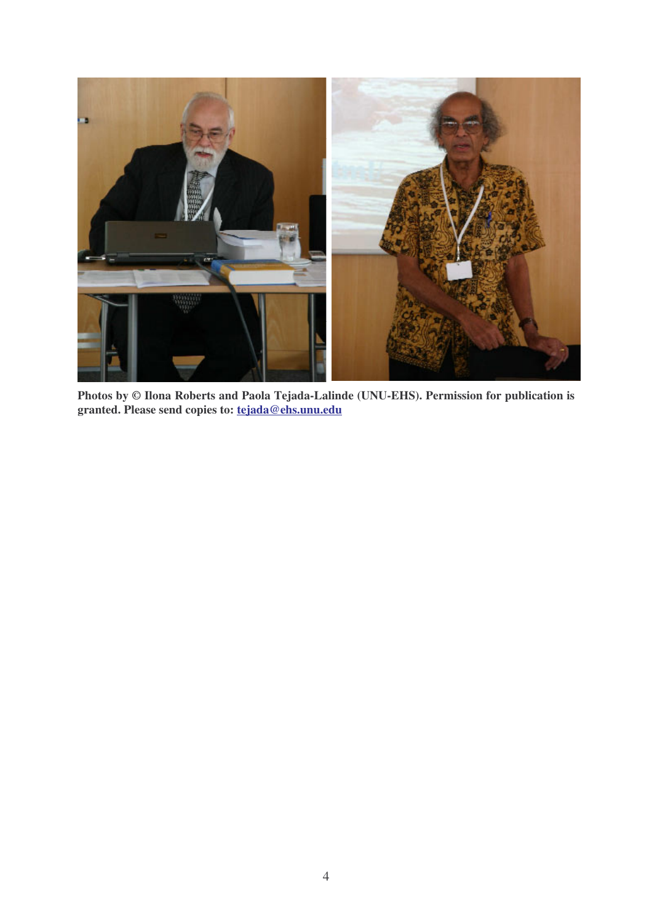![](_page_3_Picture_0.jpeg)

**Photos by © Ilona Roberts and Paola Tejada-Lalinde (UNU-EHS). Permission for publication is granted. Please send copies to: tejada@ehs.unu.edu**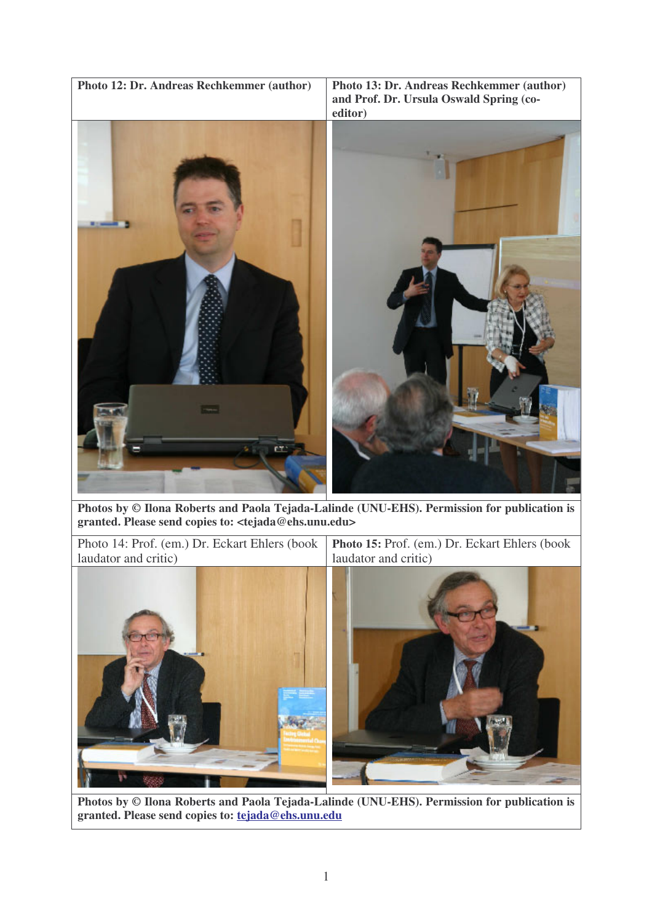![](_page_4_Picture_0.jpeg)

**Photos by © Ilona Roberts and Paola Tejada-Lalinde (UNU-EHS). Permission for publication is granted. Please send copies to: <tejada@ehs.unu.edu>**

Photo 14: Prof. (em.) Dr. Eckart Ehlers (book laudator and critic) **Photo 15:** Prof. (em.) Dr. Eckart Ehlers (book laudator and critic)

![](_page_4_Picture_3.jpeg)

**Photos by © Ilona Roberts and Paola Tejada-Lalinde (UNU-EHS). Permission for publication is granted. Please send copies to: tejada@ehs.unu.edu**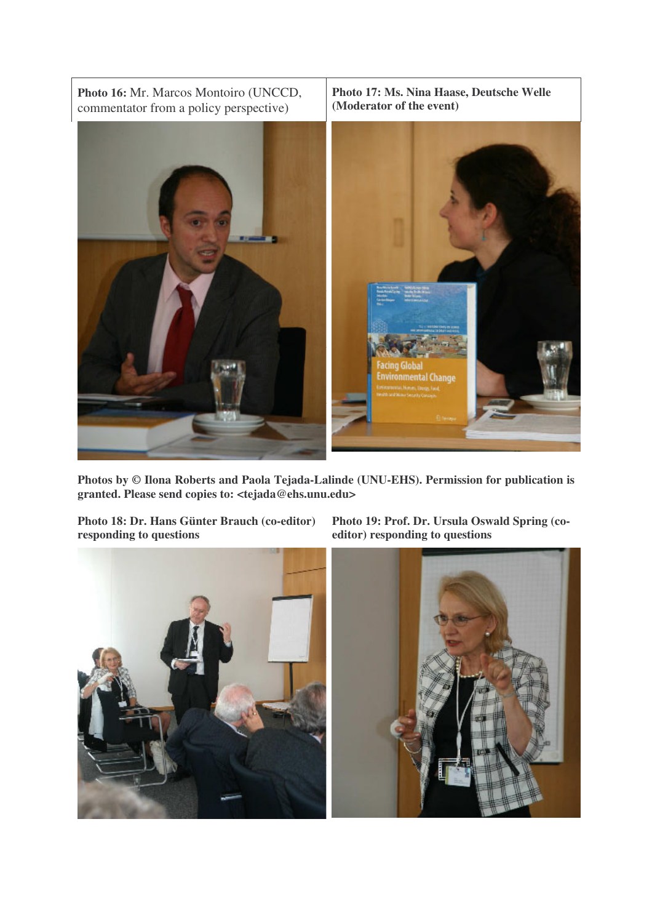![](_page_5_Picture_0.jpeg)

**Photos by © Ilona Roberts and Paola Tejada-Lalinde (UNU-EHS). Permission for publication is granted. Please send copies to: <tejada@ehs.unu.edu>**

**Photo 18: Dr. Hans Günter Brauch (co-editor) responding to questions**

**Photo 19: Prof. Dr. Ursula Oswald Spring (coeditor) responding to questions**

![](_page_5_Picture_4.jpeg)